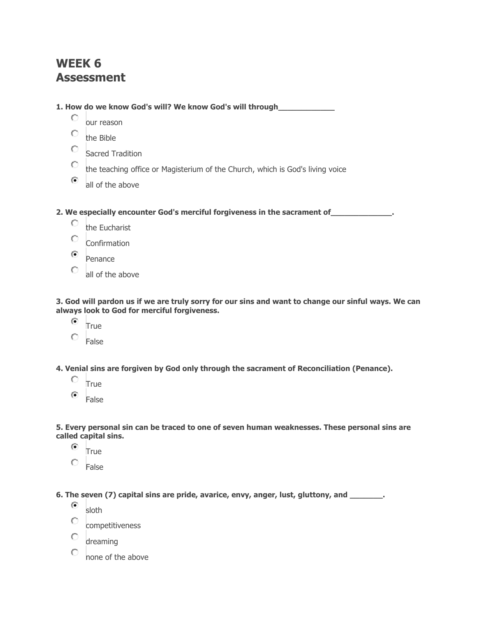## **WEEK 6 Assessment**

**1. How do we know God's will? We know God's will through\_\_\_\_\_\_\_\_\_\_\_\_**

- О our reason
- $\circ$ the Bible
- 0. Sacred Tradition
- 0. the teaching office or Magisterium of the Church, which is God's living voice
- $\odot$ all of the above

**2. We especially encounter God's merciful forgiveness in the sacrament of\_\_\_\_\_\_\_\_\_\_\_\_\_.**

- О the Eucharist
- O Confirmation
- $\odot$ Penance
- O all of the above

3. God will pardon us if we are truly sorry for our sins and want to change our sinful ways. We can **always look to God for merciful forgiveness.**

- $\left( \bullet \right)$ True
- Ō False

**4. Venial sins are forgiven by God only through the sacrament of Reconciliation (Penance).**

- О True
- $\left( \bullet \right)$ False

**5. Every personal sin can be traced to one of seven human weaknesses. These personal sins are called capital sins.**

- $\left( \bullet \right)$ **True**
- 0. False

**6. The seven (7) capital sins are pride, avarice, envy, anger, lust, gluttony, and \_\_\_\_\_\_\_.**

- $\odot$ sloth
- Ō. competitiveness
- 0. dreaming
- 0 none of the above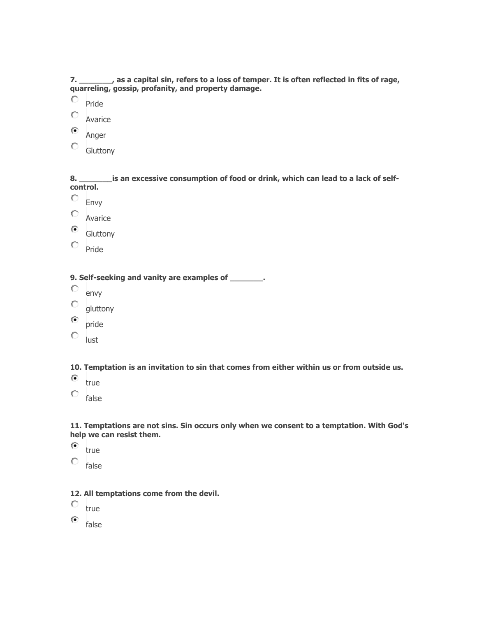7. \_\_\_\_\_\_\_\_\_, as a capital sin, refers to a loss of temper. It is often reflected in fits of rage, **quarreling, gossip, profanity, and property damage.**

- $\circ$ Pride
- $\circ$ Avarice
- $\odot$ Anger
- 0. Gluttony

**8. \_\_\_\_\_\_\_is an excessive consumption of food or drink, which can lead to a lack of selfcontrol.**

- О Envy
- $\circ$ Avarice
- $\odot$ Gluttony
- О. Pride

**9. Self-seeking and vanity are examples of \_\_\_\_\_\_\_.**

- О envy
- О gluttony
- $\circ$ pride
- $\circ$ lust

**10. Temptation is an invitation to sin that comes from either within us or from outside us.**

- $\odot$ true
- 0
	- false

**11. Temptations are not sins. Sin occurs only when we consent to a temptation. With God's help we can resist them.**

- $\odot$ true
- О. false

## **12. All temptations come from the devil.**

0 true

 $\odot$ false